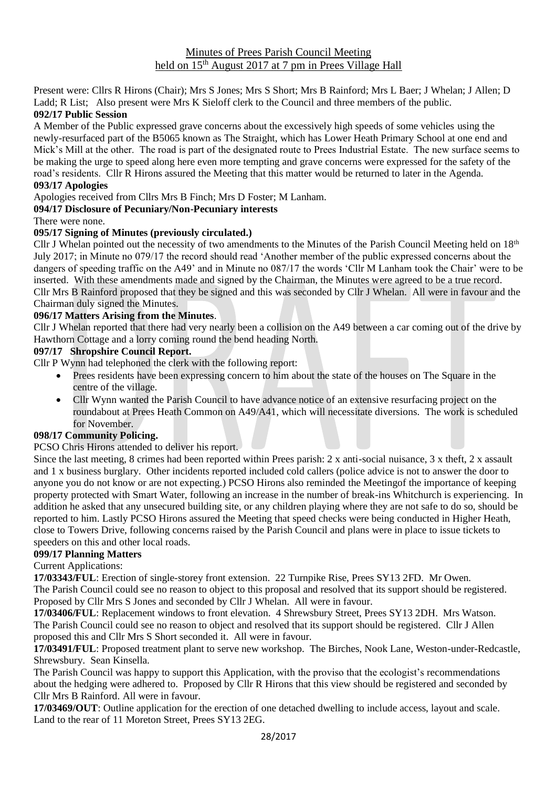# Minutes of Prees Parish Council Meeting held on 15<sup>th</sup> August 2017 at 7 pm in Prees Village Hall

Present were: Cllrs R Hirons (Chair); Mrs S Jones; Mrs S Short; Mrs B Rainford; Mrs L Baer; J Whelan; J Allen; D Ladd; R List; Also present were Mrs K Sieloff clerk to the Council and three members of the public.

# **092/17 Public Session**

A Member of the Public expressed grave concerns about the excessively high speeds of some vehicles using the newly-resurfaced part of the B5065 known as The Straight, which has Lower Heath Primary School at one end and Mick's Mill at the other. The road is part of the designated route to Prees Industrial Estate. The new surface seems to be making the urge to speed along here even more tempting and grave concerns were expressed for the safety of the road's residents. Cllr R Hirons assured the Meeting that this matter would be returned to later in the Agenda.

### **093/17 Apologies**

Apologies received from Cllrs Mrs B Finch; Mrs D Foster; M Lanham.

#### **094/17 Disclosure of Pecuniary/Non-Pecuniary interests**

There were none.

#### **095/17 Signing of Minutes (previously circulated.)**

Cllr J Whelan pointed out the necessity of two amendments to the Minutes of the Parish Council Meeting held on  $18<sup>th</sup>$ July 2017; in Minute no 079/17 the record should read 'Another member of the public expressed concerns about the dangers of speeding traffic on the A49' and in Minute no 087/17 the words 'Cllr M Lanham took the Chair' were to be inserted. With these amendments made and signed by the Chairman, the Minutes were agreed to be a true record. Cllr Mrs B Rainford proposed that they be signed and this was seconded by Cllr J Whelan. All were in favour and the Chairman duly signed the Minutes.

## **096/17 Matters Arising from the Minutes**.

Cllr J Whelan reported that there had very nearly been a collision on the A49 between a car coming out of the drive by Hawthorn Cottage and a lorry coming round the bend heading North.

#### **097/17 Shropshire Council Report.**

Cllr P Wynn had telephoned the clerk with the following report:

- Prees residents have been expressing concern to him about the state of the houses on The Square in the centre of the village.
- Cllr Wynn wanted the Parish Council to have advance notice of an extensive resurfacing project on the roundabout at Prees Heath Common on A49/A41, which will necessitate diversions. The work is scheduled for November.

## **098/17 Community Policing.**

## PCSO Chris Hirons attended to deliver his report.

Since the last meeting, 8 crimes had been reported within Prees parish:  $2 \times$  anti-social nuisance,  $3 \times$  theft,  $2 \times$  assault and 1 x business burglary. Other incidents reported included cold callers (police advice is not to answer the door to anyone you do not know or are not expecting.) PCSO Hirons also reminded the Meetingof the importance of keeping property protected with Smart Water, following an increase in the number of break-ins Whitchurch is experiencing. In addition he asked that any unsecured building site, or any children playing where they are not safe to do so, should be reported to him. Lastly PCSO Hirons assured the Meeting that speed checks were being conducted in Higher Heath, close to Towers Drive, following concerns raised by the Parish Council and plans were in place to issue tickets to speeders on this and other local roads.

## **099/17 Planning Matters**

Current Applications:

**17/03343/FUL**: Erection of single-storey front extension. 22 Turnpike Rise, Prees SY13 2FD. Mr Owen. The Parish Council could see no reason to object to this proposal and resolved that its support should be registered. Proposed by Cllr Mrs S Jones and seconded by Cllr J Whelan. All were in favour.

**17/03406/FUL**: Replacement windows to front elevation. 4 Shrewsbury Street, Prees SY13 2DH. Mrs Watson. The Parish Council could see no reason to object and resolved that its support should be registered. Cllr J Allen proposed this and Cllr Mrs S Short seconded it. All were in favour.

**17/03491/FUL**: Proposed treatment plant to serve new workshop. The Birches, Nook Lane, Weston-under-Redcastle, Shrewsbury. Sean Kinsella.

The Parish Council was happy to support this Application, with the proviso that the ecologist's recommendations about the hedging were adhered to. Proposed by Cllr R Hirons that this view should be registered and seconded by Cllr Mrs B Rainford. All were in favour.

**17/03469/OUT**: Outline application for the erection of one detached dwelling to include access, layout and scale. Land to the rear of 11 Moreton Street, Prees SY13 2EG.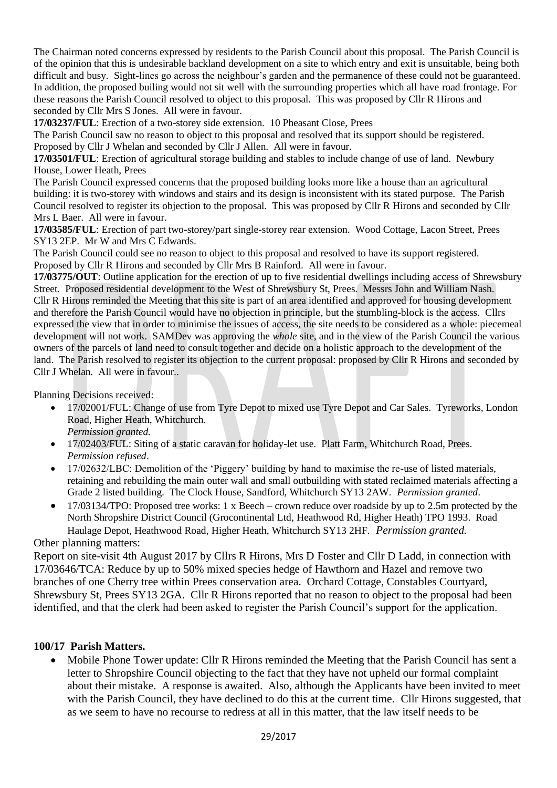The Chairman noted concerns expressed by residents to the Parish Council about this proposal. The Parish Council is of the opinion that this is undesirable backland development on a site to which entry and exit is unsuitable, being both difficult and busy. Sight-lines go across the neighbour's garden and the permanence of these could not be guaranteed. In addition, the proposed builing would not sit well with the surrounding properties which all have road frontage. For these reasons the Parish Council resolved to object to this proposal. This was proposed by Cllr R Hirons and seconded by Cllr Mrs S Jones. All were in favour.

**17/03237/FUL**: Erection of a two-storey side extension. 10 Pheasant Close, Prees

The Parish Council saw no reason to object to this proposal and resolved that its support should be registered. Proposed by Cllr J Whelan and seconded by Cllr J Allen. All were in favour.

**17/03501/FUL**: Erection of agricultural storage building and stables to include change of use of land. Newbury House, Lower Heath, Prees

The Parish Council expressed concerns that the proposed building looks more like a house than an agricultural building: it is two-storey with windows and stairs and its design is inconsistent with its stated purpose. The Parish Council resolved to register its objection to the proposal. This was proposed by Cllr R Hirons and seconded by Cllr Mrs L Baer. All were in favour.

**17/03585/FUL**: Erection of part two-storey/part single-storey rear extension. Wood Cottage, Lacon Street, Prees SY13 2EP. Mr W and Mrs C Edwards.

The Parish Council could see no reason to object to this proposal and resolved to have its support registered. Proposed by Cllr R Hirons and seconded by Cllr Mrs B Rainford. All were in favour.

**17/03775/OUT**: Outline application for the erection of up to five residential dwellings including access of Shrewsbury Street. Proposed residential development to the West of Shrewsbury St, Prees. Messrs John and William Nash. Cllr R Hirons reminded the Meeting that this site is part of an area identified and approved for housing development and therefore the Parish Council would have no objection in principle, but the stumbling-block is the access. Cllrs expressed the view that in order to minimise the issues of access, the site needs to be considered as a whole: piecemeal development will not work. SAMDev was approving the *whole* site, and in the view of the Parish Council the various owners of the parcels of land need to consult together and decide on a holistic approach to the development of the land. The Parish resolved to register its objection to the current proposal: proposed by Cllr R Hirons and seconded by Cllr J Whelan. All were in favour..

Planning Decisions received:

- 17/02001/FUL: Change of use from Tyre Depot to mixed use Tyre Depot and Car Sales. Tyreworks, London Road, Higher Heath, Whitchurch.
- *Permission granted.*
- 17/02403/FUL: Siting of a static caravan for holiday-let use. Platt Farm, Whitchurch Road, Prees. *Permission refused*.
- 17/02632/LBC: Demolition of the 'Piggery' building by hand to maximise the re-use of listed materials, retaining and rebuilding the main outer wall and small outbuilding with stated reclaimed materials affecting a Grade 2 listed building. The Clock House, Sandford, Whitchurch SY13 2AW. *Permission granted*.
- 17/03134/TPO: Proposed tree works: 1 x Beech crown reduce over roadside by up to 2.5m protected by the North Shropshire District Council (Grocontinental Ltd, Heathwood Rd, Higher Heath) TPO 1993. Road Haulage Depot, Heathwood Road, Higher Heath, Whitchurch SY13 2HF. *Permission granted.*

Other planning matters:

Report on site-visit 4th August 2017 by Cllrs R Hirons, Mrs D Foster and Cllr D Ladd, in connection with 17/03646/TCA: Reduce by up to 50% mixed species hedge of Hawthorn and Hazel and remove two branches of one Cherry tree within Prees conservation area. Orchard Cottage, Constables Courtyard, Shrewsbury St, Prees SY13 2GA. Cllr R Hirons reported that no reason to object to the proposal had been identified, and that the clerk had been asked to register the Parish Council's support for the application.

# **100/17 Parish Matters.**

• Mobile Phone Tower update: Cllr R Hirons reminded the Meeting that the Parish Council has sent a letter to Shropshire Council objecting to the fact that they have not upheld our formal complaint about their mistake. A response is awaited. Also, although the Applicants have been invited to meet with the Parish Council, they have declined to do this at the current time. Cllr Hirons suggested, that as we seem to have no recourse to redress at all in this matter, that the law itself needs to be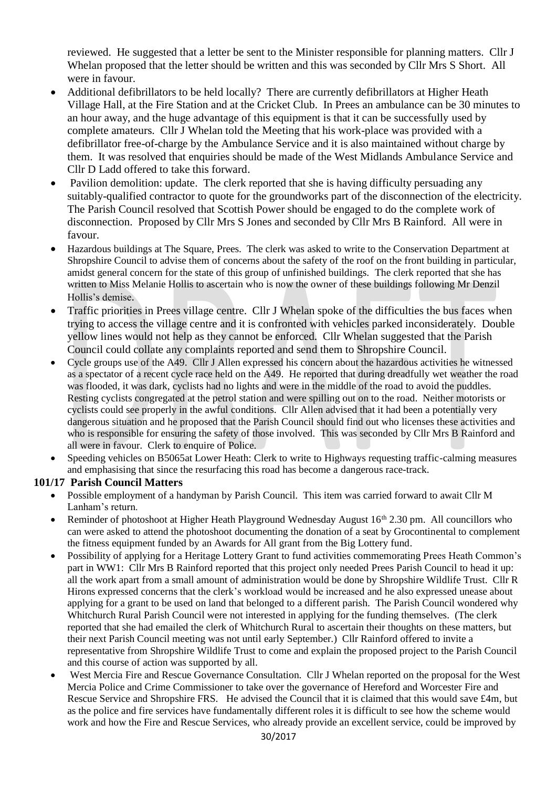reviewed. He suggested that a letter be sent to the Minister responsible for planning matters. Cllr J Whelan proposed that the letter should be written and this was seconded by Cllr Mrs S Short. All were in favour.

- Additional defibrillators to be held locally? There are currently defibrillators at Higher Heath Village Hall, at the Fire Station and at the Cricket Club. In Prees an ambulance can be 30 minutes to an hour away, and the huge advantage of this equipment is that it can be successfully used by complete amateurs. Cllr J Whelan told the Meeting that his work-place was provided with a defibrillator free-of-charge by the Ambulance Service and it is also maintained without charge by them. It was resolved that enquiries should be made of the West Midlands Ambulance Service and Cllr D Ladd offered to take this forward.
- Pavilion demolition: update. The clerk reported that she is having difficulty persuading any suitably-qualified contractor to quote for the groundworks part of the disconnection of the electricity. The Parish Council resolved that Scottish Power should be engaged to do the complete work of disconnection. Proposed by Cllr Mrs S Jones and seconded by Cllr Mrs B Rainford. All were in favour.
- Hazardous buildings at The Square, Prees. The clerk was asked to write to the Conservation Department at Shropshire Council to advise them of concerns about the safety of the roof on the front building in particular, amidst general concern for the state of this group of unfinished buildings. The clerk reported that she has written to Miss Melanie Hollis to ascertain who is now the owner of these buildings following Mr Denzil Hollis's demise.
- Traffic priorities in Prees village centre. Cllr J Whelan spoke of the difficulties the bus faces when trying to access the village centre and it is confronted with vehicles parked inconsiderately. Double yellow lines would not help as they cannot be enforced. Cllr Whelan suggested that the Parish Council could collate any complaints reported and send them to Shropshire Council.
- Cycle groups use of the A49. Cllr J Allen expressed his concern about the hazardous activities he witnessed as a spectator of a recent cycle race held on the A49. He reported that during dreadfully wet weather the road was flooded, it was dark, cyclists had no lights and were in the middle of the road to avoid the puddles. Resting cyclists congregated at the petrol station and were spilling out on to the road. Neither motorists or cyclists could see properly in the awful conditions. Cllr Allen advised that it had been a potentially very dangerous situation and he proposed that the Parish Council should find out who licenses these activities and who is responsible for ensuring the safety of those involved. This was seconded by Cllr Mrs B Rainford and all were in favour. Clerk to enquire of Police.
- Speeding vehicles on B5065at Lower Heath: Clerk to write to Highways requesting traffic-calming measures and emphasising that since the resurfacing this road has become a dangerous race-track.

# **101/17 Parish Council Matters**

- Possible employment of a handyman by Parish Council. This item was carried forward to await Cllr M Lanham's return.
- Reminder of photoshoot at Higher Heath Playground Wednesday August 16<sup>th</sup> 2.30 pm. All councillors who can were asked to attend the photoshoot documenting the donation of a seat by Grocontinental to complement the fitness equipment funded by an Awards for All grant from the Big Lottery fund.
- Possibility of applying for a Heritage Lottery Grant to fund activities commemorating Prees Heath Common's part in WW1: Cllr Mrs B Rainford reported that this project only needed Prees Parish Council to head it up: all the work apart from a small amount of administration would be done by Shropshire Wildlife Trust. Cllr R Hirons expressed concerns that the clerk's workload would be increased and he also expressed unease about applying for a grant to be used on land that belonged to a different parish. The Parish Council wondered why Whitchurch Rural Parish Council were not interested in applying for the funding themselves. (The clerk reported that she had emailed the clerk of Whitchurch Rural to ascertain their thoughts on these matters, but their next Parish Council meeting was not until early September.) Cllr Rainford offered to invite a representative from Shropshire Wildlife Trust to come and explain the proposed project to the Parish Council and this course of action was supported by all.
- West Mercia Fire and Rescue Governance Consultation. Cllr J Whelan reported on the proposal for the West Mercia Police and Crime Commissioner to take over the governance of Hereford and Worcester Fire and Rescue Service and Shropshire FRS. He advised the Council that it is claimed that this would save £4m, but as the police and fire services have fundamentally different roles it is difficult to see how the scheme would work and how the Fire and Rescue Services, who already provide an excellent service, could be improved by